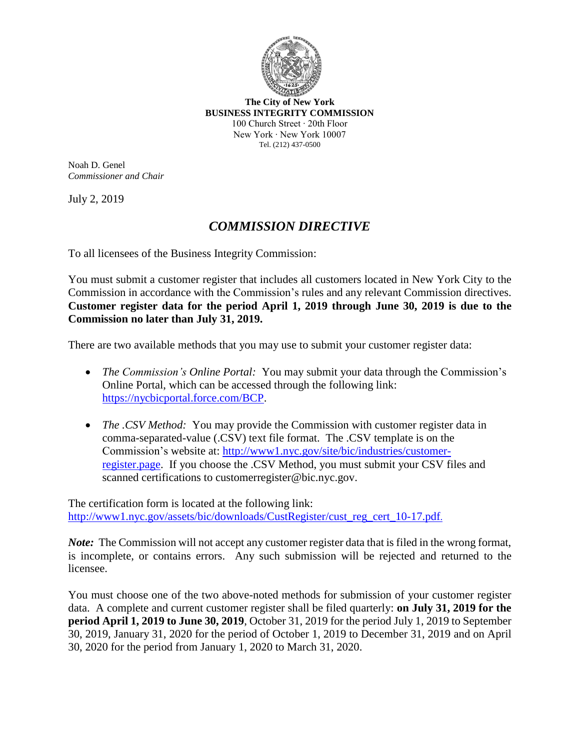

**The City of New York BUSINESS INTEGRITY COMMISSION** 100 Church Street ∙ 20th Floor New York ∙ New York 10007 Tel. (212) 437-0500

Noah D. Genel *Commissioner and Chair*

July 2, 2019

## *COMMISSION DIRECTIVE*

To all licensees of the Business Integrity Commission:

You must submit a customer register that includes all customers located in New York City to the Commission in accordance with the Commission's rules and any relevant Commission directives. **Customer register data for the period April 1, 2019 through June 30, 2019 is due to the Commission no later than July 31, 2019.**

There are two available methods that you may use to submit your customer register data:

- *The Commission's Online Portal:* You may submit your data through the Commission's Online Portal, which can be accessed through the following link: https://nycbicportal.force.com/BCP.
- *The .CSV Method:* You may provide the Commission with customer register data in comma-separated-value (.CSV) text file format. The .CSV template is on the Commission's website at: http://www1.nyc.gov/site/bic/industries/customerregister.page. If you choose the .CSV Method, you must submit your CSV files and scanned certifications to customerregister@bic.nyc.gov.

The certification form is located at the following link: http://www1.nyc.gov/assets/bic/downloads/CustRegister/cust\_reg\_cert\_10-17.pdf.

*Note*: The Commission will not accept any customer register data that is filed in the wrong format, is incomplete, or contains errors. Any such submission will be rejected and returned to the licensee.

You must choose one of the two above-noted methods for submission of your customer register data. A complete and current customer register shall be filed quarterly: **on July 31, 2019 for the period April 1, 2019 to June 30, 2019**, October 31, 2019 for the period July 1, 2019 to September 30, 2019, January 31, 2020 for the period of October 1, 2019 to December 31, 2019 and on April 30, 2020 for the period from January 1, 2020 to March 31, 2020.